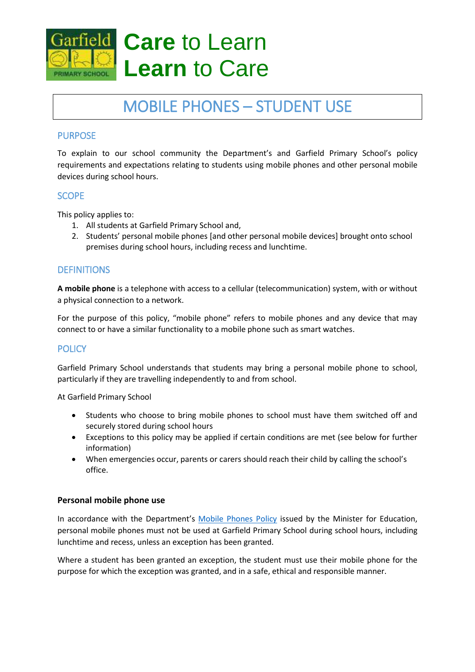

# **Care** to Learn **Learn** to Care

# MOBILE PHONES – STUDENT USE

# **PURPOSE**

To explain to our school community the Department's and Garfield Primary School's policy requirements and expectations relating to students using mobile phones and other personal mobile devices during school hours.

# **SCOPE**

This policy applies to:

- 1. All students at Garfield Primary School and,
- 2. Students' personal mobile phones [and other personal mobile devices] brought onto school premises during school hours, including recess and lunchtime.

# **DEFINITIONS**

**A mobile phone** is a telephone with access to a cellular (telecommunication) system, with or without a physical connection to a network.

For the purpose of this policy, "mobile phone" refers to mobile phones and any device that may connect to or have a similar functionality to a mobile phone such as smart watches.

# **POLICY**

Garfield Primary School understands that students may bring a personal mobile phone to school, particularly if they are travelling independently to and from school.

At Garfield Primary School

- Students who choose to bring mobile phones to school must have them switched off and securely stored during school hours
- Exceptions to this policy may be applied if certain conditions are met (see below for further information)
- When emergencies occur, parents or carers should reach their child by calling the school's office.

#### **Personal mobile phone use**

In accordance with the Department's [Mobile Phones Policy](https://www.education.vic.gov.au/school/principals/spag/safety/Pages/mobilephones.aspx) issued by the Minister for Education, personal mobile phones must not be used at Garfield Primary School during school hours, including lunchtime and recess, unless an exception has been granted.

Where a student has been granted an exception, the student must use their mobile phone for the purpose for which the exception was granted, and in a safe, ethical and responsible manner.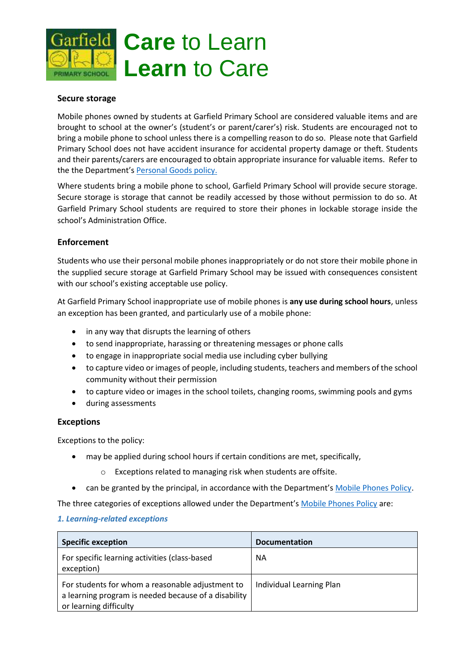

#### **Secure storage**

Mobile phones owned by students at Garfield Primary School are considered valuable items and are brought to school at the owner's (student's or parent/carer's) risk. Students are encouraged not to bring a mobile phone to school unless there is a compelling reason to do so. Please note that Garfield Primary School does not have accident insurance for accidental property damage or theft. Students and their parents/carers are encouraged to obtain appropriate insurance for valuable items. Refer to the the Department's [Personal Goods](https://www.education.vic.gov.au/school/principals/spag/governance/pages/personalgoods.aspx) policy.

Where students bring a mobile phone to school, Garfield Primary School will provide secure storage. Secure storage is storage that cannot be readily accessed by those without permission to do so. At Garfield Primary School students are required to store their phones in lockable storage inside the school's Administration Office.

#### **Enforcement**

Students who use their personal mobile phones inappropriately or do not store their mobile phone in the supplied secure storage at Garfield Primary School may be issued with consequences consistent with our school's existing acceptable use policy.

At Garfield Primary School inappropriate use of mobile phones is **any use during school hours**, unless an exception has been granted, and particularly use of a mobile phone:

- in any way that disrupts the learning of others
- to send inappropriate, harassing or threatening messages or phone calls
- to engage in inappropriate social media use including cyber bullying
- to capture video or images of people, including students, teachers and members of the school community without their permission
- to capture video or images in the school toilets, changing rooms, swimming pools and gyms
- during assessments

#### **Exceptions**

Exceptions to the policy:

- may be applied during school hours if certain conditions are met, specifically,
	- o Exceptions related to managing risk when students are offsite.
- can be granted by the principal, in accordance with the Department's [Mobile Phones Policy.](https://www.education.vic.gov.au/school/principals/spag/safety/Pages/mobilephones.aspx)

The three categories of exceptions allowed under the Department's [Mobile Phones Policy](https://www.education.vic.gov.au/school/principals/spag/safety/Pages/mobilephones.aspx) are:

#### *1. Learning-related exceptions*

| <b>Specific exception</b>                                                                                                          | <b>Documentation</b>     |
|------------------------------------------------------------------------------------------------------------------------------------|--------------------------|
| For specific learning activities (class-based<br>exception)                                                                        | ΝA                       |
| For students for whom a reasonable adjustment to<br>a learning program is needed because of a disability<br>or learning difficulty | Individual Learning Plan |